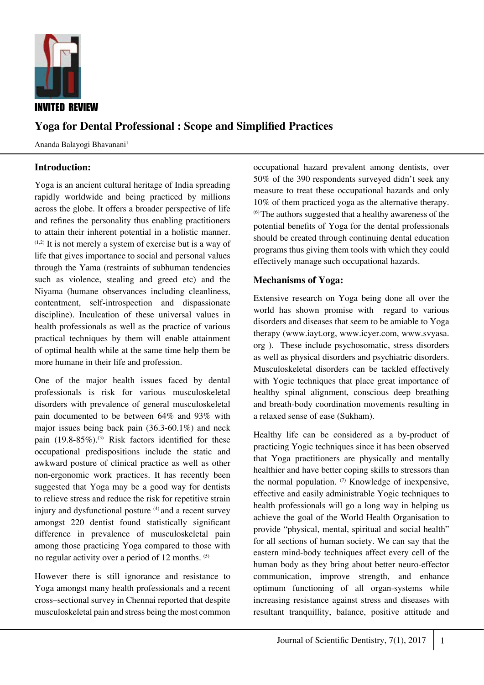

# **Yoga for Dental Professional : Scope and Simplified Practices**

Ananda Balayogi Bhavanani<sup>1</sup>

## **Introduction:**

Yoga is an ancient cultural heritage of India spreading rapidly worldwide and being practiced by millions across the globe. It offers a broader perspective of life and refines the personality thus enabling practitioners to attain their inherent potential in a holistic manner.  $(1,2)$  It is not merely a system of exercise but is a way of life that gives importance to social and personal values through the Yama (restraints of subhuman tendencies such as violence, stealing and greed etc) and the Niyama (humane observances including cleanliness, contentment, self-introspection and dispassionate discipline). Inculcation of these universal values in health professionals as well as the practice of various practical techniques by them will enable attainment of optimal health while at the same time help them be more humane in their life and profession.

One of the major health issues faced by dental professionals is risk for various musculoskeletal disorders with prevalence of general musculoskeletal pain documented to be between 64% and 93% with major issues being back pain (36.3-60.1%) and neck pain  $(19.8-85\%)$ .<sup>(3)</sup> Risk factors identified for these occupational predispositions include the static and awkward posture of clinical practice as well as other non-ergonomic work practices. It has recently been suggested that Yoga may be a good way for dentists to relieve stress and reduce the risk for repetitive strain injury and dysfunctional posture <sup>(4)</sup> and a recent survey amongst 220 dentist found statistically significant difference in prevalence of musculoskeletal pain among those practicing Yoga compared to those with no regular activity over a period of 12 months. (5)

However there is still ignorance and resistance to Yoga amongst many health professionals and a recent cross–sectional survey in Chennai reported that despite musculoskeletal pain and stress being the most common occupational hazard prevalent among dentists, over 50% of the 390 respondents surveyed didn't seek any measure to treat these occupational hazards and only 10% of them practiced yoga as the alternative therapy. (6) The authors suggested that a healthy awareness of the potential benefits of Yoga for the dental professionals should be created through continuing dental education programs thus giving them tools with which they could effectively manage such occupational hazards.

## **Mechanisms of Yoga:**

Extensive research on Yoga being done all over the world has shown promise with regard to various disorders and diseases that seem to be amiable to Yoga therapy (www.iayt.org, www.icyer.com, www.svyasa. org ). These include psychosomatic, stress disorders as well as physical disorders and psychiatric disorders. Musculoskeletal disorders can be tackled effectively with Yogic techniques that place great importance of healthy spinal alignment, conscious deep breathing and breath-body coordination movements resulting in a relaxed sense of ease (Sukham).

Healthy life can be considered as a by-product of practicing Yogic techniques since it has been observed that Yoga practitioners are physically and mentally healthier and have better coping skills to stressors than the normal population.  $(7)$  Knowledge of inexpensive, effective and easily administrable Yogic techniques to health professionals will go a long way in helping us achieve the goal of the World Health Organisation to provide "physical, mental, spiritual and social health" for all sections of human society. We can say that the eastern mind-body techniques affect every cell of the human body as they bring about better neuro-effector communication, improve strength, and enhance optimum functioning of all organ-systems while increasing resistance against stress and diseases with resultant tranquillity, balance, positive attitude and

1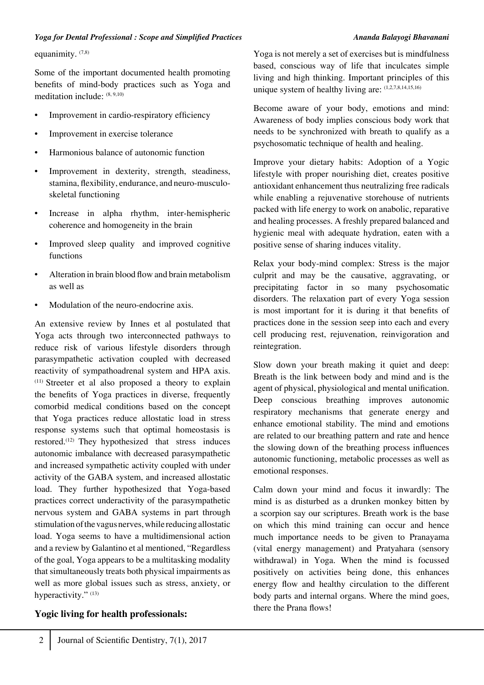equanimity.  $(7,8)$ 

Some of the important documented health promoting benefits of mind-body practices such as Yoga and meditation include: (8, 9,10)

- Improvement in cardio-respiratory efficiency
- Improvement in exercise tolerance
- Harmonious balance of autonomic function
- Improvement in dexterity, strength, steadiness, stamina, flexibility, endurance, and neuro-musculoskeletal functioning
- Increase in alpha rhythm, inter-hemispheric coherence and homogeneity in the brain
- Improved sleep quality and improved cognitive functions
- Alteration in brain blood flow and brain metabolism as well as
- Modulation of the neuro-endocrine axis.

An extensive review by Innes et al postulated that Yoga acts through two interconnected pathways to reduce risk of various lifestyle disorders through parasympathetic activation coupled with decreased reactivity of sympathoadrenal system and HPA axis. (11) Streeter et al also proposed a theory to explain the benefits of Yoga practices in diverse, frequently comorbid medical conditions based on the concept that Yoga practices reduce allostatic load in stress response systems such that optimal homeostasis is restored.(12) They hypothesized that stress induces autonomic imbalance with decreased parasympathetic and increased sympathetic activity coupled with under activity of the GABA system, and increased allostatic load. They further hypothesized that Yoga-based practices correct underactivity of the parasympathetic nervous system and GABA systems in part through stimulation of the vagus nerves, while reducing allostatic load. Yoga seems to have a multidimensional action and a review by Galantino et al mentioned, "Regardless of the goal, Yoga appears to be a multitasking modality that simultaneously treats both physical impairments as well as more global issues such as stress, anxiety, or hyperactivity." (13)

## **Yogic living for health professionals:**

Yoga is not merely a set of exercises but is mindfulness based, conscious way of life that inculcates simple living and high thinking. Important principles of this unique system of healthy living are:  $(1,2,7,8,14,15,16)$ 

Become aware of your body, emotions and mind: Awareness of body implies conscious body work that needs to be synchronized with breath to qualify as a psychosomatic technique of health and healing.

Improve your dietary habits: Adoption of a Yogic lifestyle with proper nourishing diet, creates positive antioxidant enhancement thus neutralizing free radicals while enabling a rejuvenative storehouse of nutrients packed with life energy to work on anabolic, reparative and healing processes. A freshly prepared balanced and hygienic meal with adequate hydration, eaten with a positive sense of sharing induces vitality.

Relax your body-mind complex: Stress is the major culprit and may be the causative, aggravating, or precipitating factor in so many psychosomatic disorders. The relaxation part of every Yoga session is most important for it is during it that benefits of practices done in the session seep into each and every cell producing rest, rejuvenation, reinvigoration and reintegration.

Slow down your breath making it quiet and deep: Breath is the link between body and mind and is the agent of physical, physiological and mental unification. Deep conscious breathing improves autonomic respiratory mechanisms that generate energy and enhance emotional stability. The mind and emotions are related to our breathing pattern and rate and hence the slowing down of the breathing process influences autonomic functioning, metabolic processes as well as emotional responses.

Calm down your mind and focus it inwardly: The mind is as disturbed as a drunken monkey bitten by a scorpion say our scriptures. Breath work is the base on which this mind training can occur and hence much importance needs to be given to Pranayama (vital energy management) and Pratyahara (sensory withdrawal) in Yoga. When the mind is focussed positively on activities being done, this enhances energy flow and healthy circulation to the different body parts and internal organs. Where the mind goes, there the Prana flows!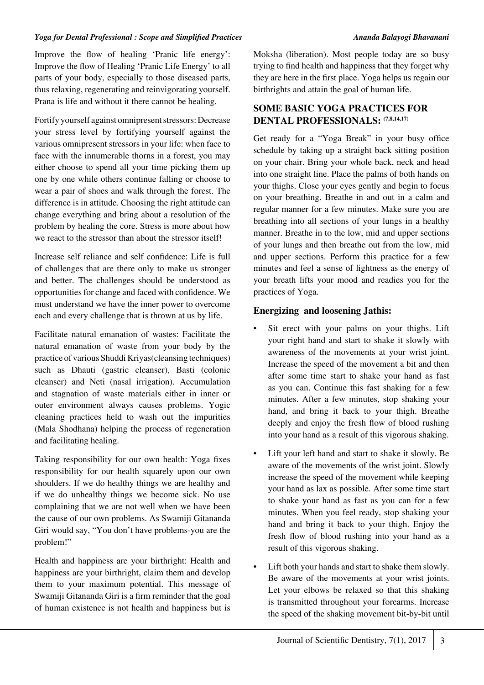Improve the flow of healing 'Pranic life energy': Improve the flow of Healing 'Pranic Life Energy' to all parts of your body, especially to those diseased parts, thus relaxing, regenerating and reinvigorating yourself. Prana is life and without it there cannot be healing.

Fortify yourself against omnipresent stressors: Decrease your stress level by fortifying yourself against the various omnipresent stressors in your life: when face to face with the innumerable thorns in a forest, you may either choose to spend all your time picking them up one by one while others continue falling or choose to wear a pair of shoes and walk through the forest. The difference is in attitude. Choosing the right attitude can change everything and bring about a resolution of the problem by healing the core. Stress is more about how we react to the stressor than about the stressor itself!

Increase self reliance and self confidence: Life is full of challenges that are there only to make us stronger and better. The challenges should be understood as opportunities for change and faced with confidence. We must understand we have the inner power to overcome each and every challenge that is thrown at us by life.

Facilitate natural emanation of wastes: Facilitate the natural emanation of waste from your body by the practice of various Shuddi Kriyas(cleansing techniques) such as Dhauti (gastric cleanser), Basti (colonic cleanser) and Neti (nasal irrigation). Accumulation and stagnation of waste materials either in inner or outer environment always causes problems. Yogic cleaning practices held to wash out the impurities (Mala Shodhana) helping the process of regeneration and facilitating healing.

Taking responsibility for our own health: Yoga fixes responsibility for our health squarely upon our own shoulders. If we do healthy things we are healthy and if we do unhealthy things we become sick. No use complaining that we are not well when we have been the cause of our own problems. As Swamiji Gitananda Giri would say, "You don't have problems-you are the problem!"

Health and happiness are your birthright: Health and happiness are your birthright, claim them and develop them to your maximum potential. This message of Swamiji Gitananda Giri is a firm reminder that the goal of human existence is not health and happiness but is Moksha (liberation). Most people today are so busy trying to find health and happiness that they forget why they are here in the first place. Yoga helps us regain our birthrights and attain the goal of human life.

## **SOME BASIC YOGA PRACTICES FOR DENTAL PROFESSIONALS: (7,8,14,17)**

Get ready for a "Yoga Break" in your busy office schedule by taking up a straight back sitting position on your chair. Bring your whole back, neck and head into one straight line. Place the palms of both hands on your thighs. Close your eyes gently and begin to focus on your breathing. Breathe in and out in a calm and regular manner for a few minutes. Make sure you are breathing into all sections of your lungs in a healthy manner. Breathe in to the low, mid and upper sections of your lungs and then breathe out from the low, mid and upper sections. Perform this practice for a few minutes and feel a sense of lightness as the energy of your breath lifts your mood and readies you for the practices of Yoga.

## **Energizing and loosening Jathis:**

- Sit erect with your palms on your thighs. Lift your right hand and start to shake it slowly with awareness of the movements at your wrist joint. Increase the speed of the movement a bit and then after some time start to shake your hand as fast as you can. Continue this fast shaking for a few minutes. After a few minutes, stop shaking your hand, and bring it back to your thigh. Breathe deeply and enjoy the fresh flow of blood rushing into your hand as a result of this vigorous shaking.
- Lift your left hand and start to shake it slowly. Be aware of the movements of the wrist joint. Slowly increase the speed of the movement while keeping your hand as lax as possible. After some time start to shake your hand as fast as you can for a few minutes. When you feel ready, stop shaking your hand and bring it back to your thigh. Enjoy the fresh flow of blood rushing into your hand as a result of this vigorous shaking.
- Lift both your hands and start to shake them slowly. Be aware of the movements at your wrist joints. Let your elbows be relaxed so that this shaking is transmitted throughout your forearms. Increase the speed of the shaking movement bit-by-bit until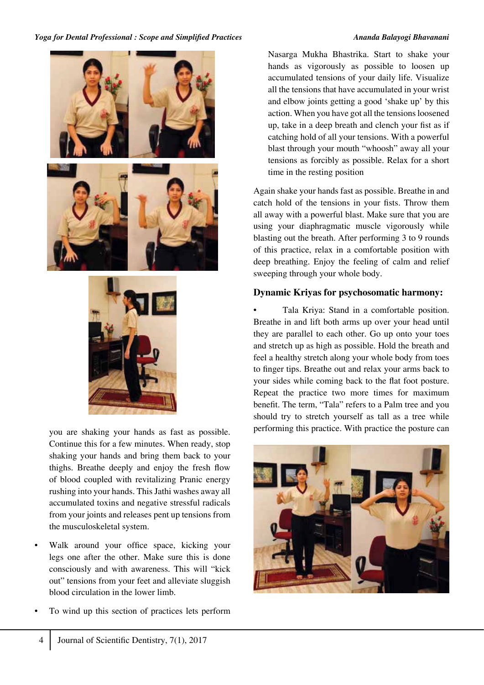



you are shaking your hands as fast as possible. Continue this for a few minutes. When ready, stop shaking your hands and bring them back to your thighs. Breathe deeply and enjoy the fresh flow of blood coupled with revitalizing Pranic energy rushing into your hands. This Jathi washes away all accumulated toxins and negative stressful radicals from your joints and releases pent up tensions from the musculoskeletal system.

- Walk around your office space, kicking your legs one after the other. Make sure this is done consciously and with awareness. This will "kick out" tensions from your feet and alleviate sluggish blood circulation in the lower limb.
- To wind up this section of practices lets perform

Nasarga Mukha Bhastrika. Start to shake your hands as vigorously as possible to loosen up accumulated tensions of your daily life. Visualize all the tensions that have accumulated in your wrist and elbow joints getting a good 'shake up' by this action. When you have got all the tensions loosened up, take in a deep breath and clench your fist as if catching hold of all your tensions. With a powerful blast through your mouth "whoosh" away all your tensions as forcibly as possible. Relax for a short time in the resting position

Again shake your hands fast as possible. Breathe in and catch hold of the tensions in your fists. Throw them all away with a powerful blast. Make sure that you are using your diaphragmatic muscle vigorously while blasting out the breath. After performing 3 to 9 rounds of this practice, relax in a comfortable position with deep breathing. Enjoy the feeling of calm and relief sweeping through your whole body.

## **Dynamic Kriyas for psychosomatic harmony:**

• Tala Kriya: Stand in a comfortable position. Breathe in and lift both arms up over your head until they are parallel to each other. Go up onto your toes and stretch up as high as possible. Hold the breath and feel a healthy stretch along your whole body from toes to finger tips. Breathe out and relax your arms back to your sides while coming back to the flat foot posture. Repeat the practice two more times for maximum benefit. The term, "Tala" refers to a Palm tree and you should try to stretch yourself as tall as a tree while performing this practice. With practice the posture can



4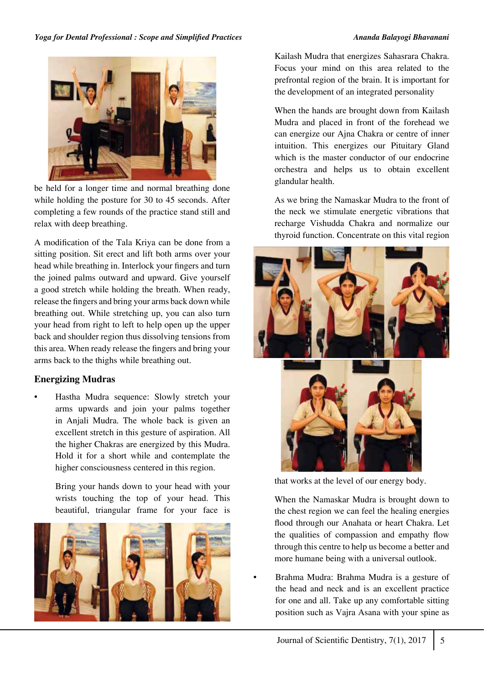

be held for a longer time and normal breathing done while holding the posture for 30 to 45 seconds. After completing a few rounds of the practice stand still and relax with deep breathing.

A modification of the Tala Kriya can be done from a sitting position. Sit erect and lift both arms over your head while breathing in. Interlock your fingers and turn the joined palms outward and upward. Give yourself a good stretch while holding the breath. When ready, release the fingers and bring your arms back down while breathing out. While stretching up, you can also turn your head from right to left to help open up the upper back and shoulder region thus dissolving tensions from this area. When ready release the fingers and bring your arms back to the thighs while breathing out.

## **Energizing Mudras**

• Hastha Mudra sequence: Slowly stretch your arms upwards and join your palms together in Anjali Mudra. The whole back is given an excellent stretch in this gesture of aspiration. All the higher Chakras are energized by this Mudra. Hold it for a short while and contemplate the higher consciousness centered in this region.

> Bring your hands down to your head with your wrists touching the top of your head. This beautiful, triangular frame for your face is



Kailash Mudra that energizes Sahasrara Chakra. Focus your mind on this area related to the prefrontal region of the brain. It is important for the development of an integrated personality

When the hands are brought down from Kailash Mudra and placed in front of the forehead we can energize our Ajna Chakra or centre of inner intuition. This energizes our Pituitary Gland which is the master conductor of our endocrine orchestra and helps us to obtain excellent glandular health.

As we bring the Namaskar Mudra to the front of the neck we stimulate energetic vibrations that recharge Vishudda Chakra and normalize our thyroid function. Concentrate on this vital region





that works at the level of our energy body.

When the Namaskar Mudra is brought down to the chest region we can feel the healing energies flood through our Anahata or heart Chakra. Let the qualities of compassion and empathy flow through this centre to help us become a better and more humane being with a universal outlook.

• Brahma Mudra: Brahma Mudra is a gesture of the head and neck and is an excellent practice for one and all. Take up any comfortable sitting position such as Vajra Asana with your spine as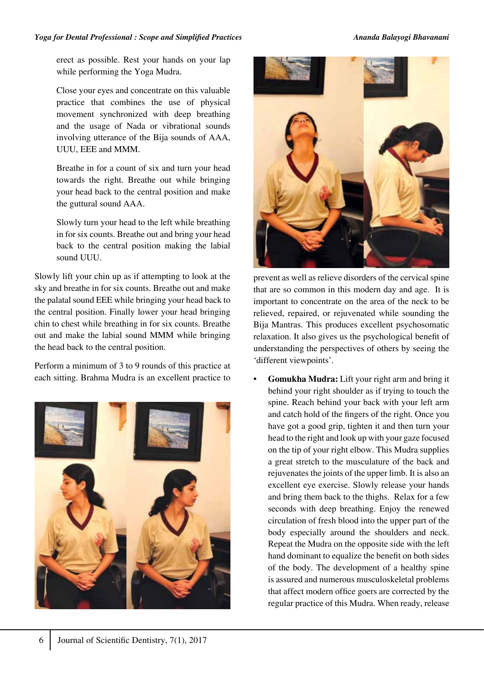erect as possible. Rest your hands on your lap while performing the Yoga Mudra.

Close your eyes and concentrate on this valuable practice that combines the use of physical movement synchronized with deep breathing and the usage of Nada or vibrational sounds involving utterance of the Bija sounds of AAA, UUU, EEE and MMM.

Breathe in for a count of six and turn your head towards the right. Breathe out while bringing your head back to the central position and make the guttural sound AAA.

Slowly turn your head to the left while breathing in for six counts. Breathe out and bring your head back to the central position making the labial sound UUU.

Slowly lift your chin up as if attempting to look at the sky and breathe in for six counts. Breathe out and make the palatal sound EEE while bringing your head back to the central position. Finally lower your head bringing chin to chest while breathing in for six counts. Breathe out and make the labial sound MMM while bringing the head back to the central position.

Perform a minimum of 3 to 9 rounds of this practice at each sitting. Brahma Mudra is an excellent practice to





prevent as well as relieve disorders of the cervical spine that are so common in this modern day and age. It is important to concentrate on the area of the neck to be relieved, repaired, or rejuvenated while sounding the Bija Mantras. This produces excellent psychosomatic relaxation. It also gives us the psychological benefit of understanding the perspectives of others by seeing the 'different viewpoints'.

**• Gomukha Mudra:** Lift your right arm and bring it behind your right shoulder as if trying to touch the spine. Reach behind your back with your left arm and catch hold of the fingers of the right. Once you have got a good grip, tighten it and then turn your head to the right and look up with your gaze focused on the tip of your right elbow. This Mudra supplies a great stretch to the musculature of the back and rejuvenates the joints of the upper limb. It is also an excellent eye exercise. Slowly release your hands and bring them back to the thighs. Relax for a few seconds with deep breathing. Enjoy the renewed circulation of fresh blood into the upper part of the body especially around the shoulders and neck. Repeat the Mudra on the opposite side with the left hand dominant to equalize the benefit on both sides of the body. The development of a healthy spine is assured and numerous musculoskeletal problems that affect modern office goers are corrected by the regular practice of this Mudra. When ready, release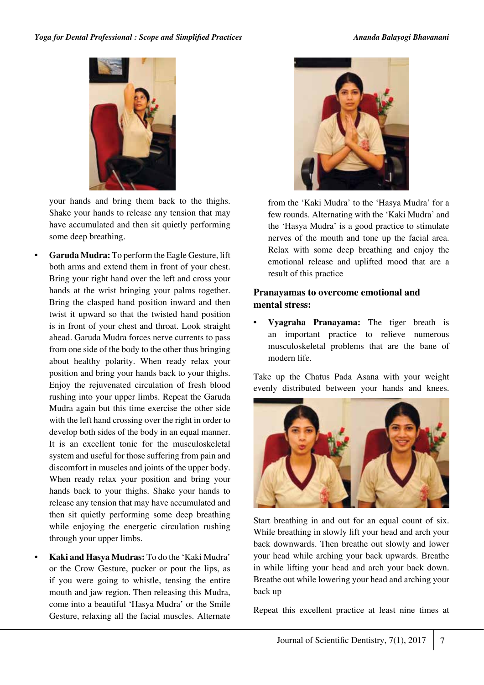

your hands and bring them back to the thighs. Shake your hands to release any tension that may have accumulated and then sit quietly performing some deep breathing.

- **• Garuda Mudra:** To perform the Eagle Gesture, lift both arms and extend them in front of your chest. Bring your right hand over the left and cross your hands at the wrist bringing your palms together. Bring the clasped hand position inward and then twist it upward so that the twisted hand position is in front of your chest and throat. Look straight ahead. Garuda Mudra forces nerve currents to pass from one side of the body to the other thus bringing about healthy polarity. When ready relax your position and bring your hands back to your thighs. Enjoy the rejuvenated circulation of fresh blood rushing into your upper limbs. Repeat the Garuda Mudra again but this time exercise the other side with the left hand crossing over the right in order to develop both sides of the body in an equal manner. It is an excellent tonic for the musculoskeletal system and useful for those suffering from pain and discomfort in muscles and joints of the upper body. When ready relax your position and bring your hands back to your thighs. Shake your hands to release any tension that may have accumulated and then sit quietly performing some deep breathing while enjoying the energetic circulation rushing through your upper limbs.
	- **• Kaki and Hasya Mudras:** To do the 'Kaki Mudra' or the Crow Gesture, pucker or pout the lips, as if you were going to whistle, tensing the entire mouth and jaw region. Then releasing this Mudra, come into a beautiful 'Hasya Mudra' or the Smile Gesture, relaxing all the facial muscles. Alternate



from the 'Kaki Mudra' to the 'Hasya Mudra' for a few rounds. Alternating with the 'Kaki Mudra' and the 'Hasya Mudra' is a good practice to stimulate nerves of the mouth and tone up the facial area. Relax with some deep breathing and enjoy the emotional release and uplifted mood that are a result of this practice

## **Pranayamas to overcome emotional and mental stress:**

**• Vyagraha Pranayama:** The tiger breath is an important practice to relieve numerous musculoskeletal problems that are the bane of modern life.

Take up the Chatus Pada Asana with your weight evenly distributed between your hands and knees.



Start breathing in and out for an equal count of six. While breathing in slowly lift your head and arch your back downwards. Then breathe out slowly and lower your head while arching your back upwards. Breathe in while lifting your head and arch your back down. Breathe out while lowering your head and arching your back up

Repeat this excellent practice at least nine times at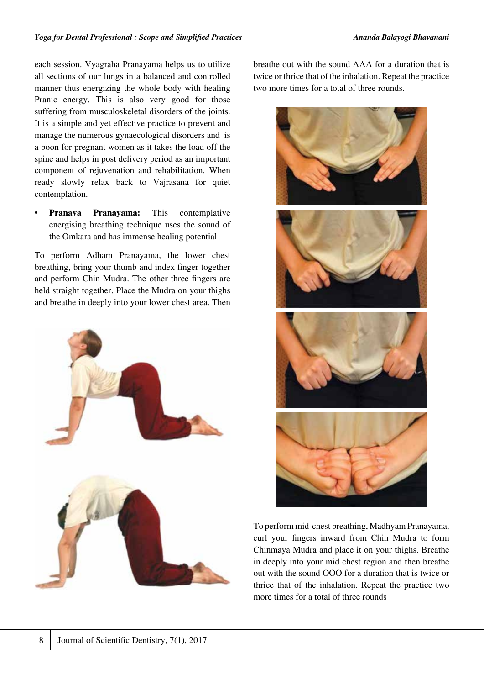each session. Vyagraha Pranayama helps us to utilize all sections of our lungs in a balanced and controlled manner thus energizing the whole body with healing Pranic energy. This is also very good for those suffering from musculoskeletal disorders of the joints. It is a simple and yet effective practice to prevent and manage the numerous gynaecological disorders and is a boon for pregnant women as it takes the load off the spine and helps in post delivery period as an important component of rejuvenation and rehabilitation. When ready slowly relax back to Vajrasana for quiet contemplation.

**Pranava Pranavama:** This contemplative energising breathing technique uses the sound of the Omkara and has immense healing potential

To perform Adham Pranayama, the lower chest breathing, bring your thumb and index finger together and perform Chin Mudra. The other three fingers are held straight together. Place the Mudra on your thighs and breathe in deeply into your lower chest area. Then



breathe out with the sound AAA for a duration that is twice or thrice that of the inhalation. Repeat the practice two more times for a total of three rounds.



To perform mid-chest breathing, Madhyam Pranayama, curl your fingers inward from Chin Mudra to form Chinmaya Mudra and place it on your thighs. Breathe in deeply into your mid chest region and then breathe out with the sound OOO for a duration that is twice or thrice that of the inhalation. Repeat the practice two more times for a total of three rounds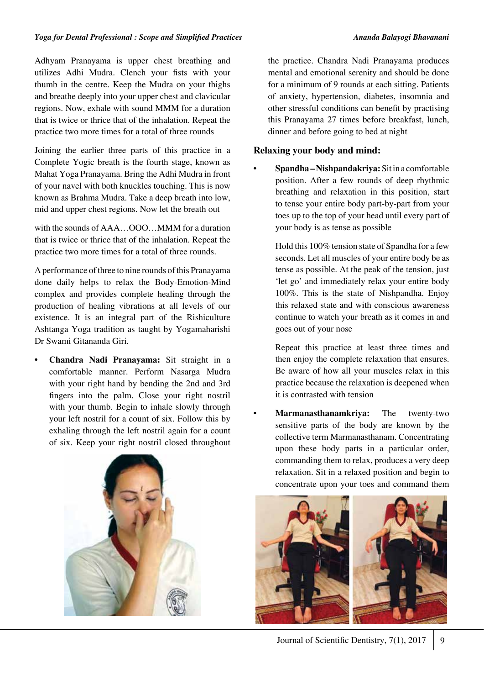Adhyam Pranayama is upper chest breathing and utilizes Adhi Mudra. Clench your fists with your thumb in the centre. Keep the Mudra on your thighs and breathe deeply into your upper chest and clavicular regions. Now, exhale with sound MMM for a duration that is twice or thrice that of the inhalation. Repeat the practice two more times for a total of three rounds

Joining the earlier three parts of this practice in a Complete Yogic breath is the fourth stage, known as Mahat Yoga Pranayama. Bring the Adhi Mudra in front of your navel with both knuckles touching. This is now known as Brahma Mudra. Take a deep breath into low, mid and upper chest regions. Now let the breath out

with the sounds of AAA…OOO…MMM for a duration that is twice or thrice that of the inhalation. Repeat the practice two more times for a total of three rounds.

A performance of three to nine rounds of this Pranayama done daily helps to relax the Body-Emotion-Mind complex and provides complete healing through the production of healing vibrations at all levels of our existence. It is an integral part of the Rishiculture Ashtanga Yoga tradition as taught by Yogamaharishi Dr Swami Gitananda Giri.

**• Chandra Nadi Pranayama:** Sit straight in a comfortable manner. Perform Nasarga Mudra with your right hand by bending the 2nd and 3rd fingers into the palm. Close your right nostril with your thumb. Begin to inhale slowly through your left nostril for a count of six. Follow this by exhaling through the left nostril again for a count of six. Keep your right nostril closed throughout



the practice. Chandra Nadi Pranayama produces mental and emotional serenity and should be done for a minimum of 9 rounds at each sitting. Patients of anxiety, hypertension, diabetes, insomnia and other stressful conditions can benefit by practising this Pranayama 27 times before breakfast, lunch, dinner and before going to bed at night

## **Relaxing your body and mind:**

• **Spandha – Nishpandakriya:** Sit in a comfortable position. After a few rounds of deep rhythmic breathing and relaxation in this position, start to tense your entire body part-by-part from your toes up to the top of your head until every part of your body is as tense as possible

Hold this 100% tension state of Spandha for a few seconds. Let all muscles of your entire body be as tense as possible. At the peak of the tension, just 'let go' and immediately relax your entire body 100%. This is the state of Nishpandha. Enjoy this relaxed state and with conscious awareness continue to watch your breath as it comes in and goes out of your nose

Repeat this practice at least three times and then enjoy the complete relaxation that ensures. Be aware of how all your muscles relax in this practice because the relaxation is deepened when it is contrasted with tension

• **Marmanasthanamkriya:** The twenty-two sensitive parts of the body are known by the collective term Marmanasthanam. Concentrating upon these body parts in a particular order, commanding them to relax, produces a very deep relaxation. Sit in a relaxed position and begin to concentrate upon your toes and command them

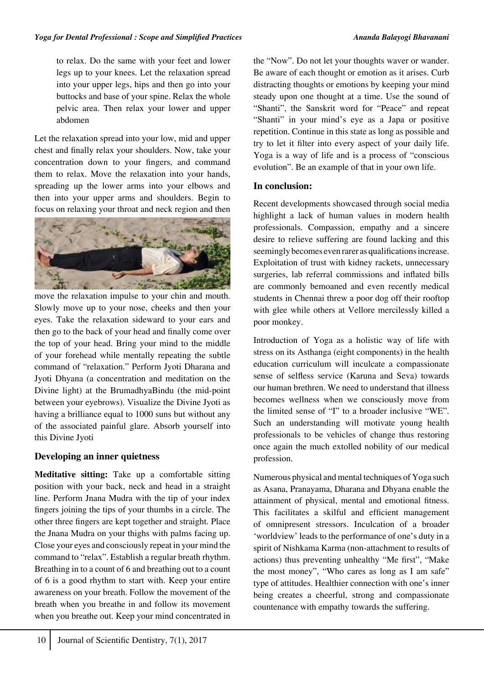to relax. Do the same with your feet and lower legs up to your knees. Let the relaxation spread into your upper legs, hips and then go into your buttocks and base of your spine. Relax the whole pelvic area. Then relax your lower and upper abdomen

Let the relaxation spread into your low, mid and upper chest and finally relax your shoulders. Now, take your concentration down to your fingers, and command them to relax. Move the relaxation into your hands, spreading up the lower arms into your elbows and then into your upper arms and shoulders. Begin to focus on relaxing your throat and neck region and then



move the relaxation impulse to your chin and mouth. Slowly move up to your nose, cheeks and then your eyes. Take the relaxation sideward to your ears and then go to the back of your head and finally come over the top of your head. Bring your mind to the middle of your forehead while mentally repeating the subtle command of "relaxation." Perform Jyoti Dharana and Jyoti Dhyana (a concentration and meditation on the Divine light) at the BrumadhyaBindu (the mid-point between your eyebrows). Visualize the Divine Jyoti as having a brilliance equal to 1000 suns but without any of the associated painful glare. Absorb yourself into this Divine Jyoti

## **Developing an inner quietness**

**Meditative sitting:** Take up a comfortable sitting position with your back, neck and head in a straight line. Perform Jnana Mudra with the tip of your index fingers joining the tips of your thumbs in a circle. The other three fingers are kept together and straight. Place the Jnana Mudra on your thighs with palms facing up. Close your eyes and consciously repeat in your mind the command to "relax". Establish a regular breath rhythm. Breathing in to a count of 6 and breathing out to a count of 6 is a good rhythm to start with. Keep your entire awareness on your breath. Follow the movement of the breath when you breathe in and follow its movement when you breathe out. Keep your mind concentrated in the "Now". Do not let your thoughts waver or wander. Be aware of each thought or emotion as it arises. Curb distracting thoughts or emotions by keeping your mind steady upon one thought at a time. Use the sound of "Shanti", the Sanskrit word for "Peace" and repeat "Shanti" in your mind's eye as a Japa or positive repetition. Continue in this state as long as possible and try to let it filter into every aspect of your daily life. Yoga is a way of life and is a process of "conscious evolution". Be an example of that in your own life.

## **In conclusion:**

Recent developments showcased through social media highlight a lack of human values in modern health professionals. Compassion, empathy and a sincere desire to relieve suffering are found lacking and this seemingly becomes even rarer as qualifications increase. Exploitation of trust with kidney rackets, unnecessary surgeries, lab referral commissions and inflated bills are commonly bemoaned and even recently medical students in Chennai threw a poor dog off their rooftop with glee while others at Vellore mercilessly killed a poor monkey.

Introduction of Yoga as a holistic way of life with stress on its Asthanga (eight components) in the health education curriculum will inculcate a compassionate sense of selfless service (Karuna and Seva) towards our human brethren. We need to understand that illness becomes wellness when we consciously move from the limited sense of "I" to a broader inclusive "WE". Such an understanding will motivate young health professionals to be vehicles of change thus restoring once again the much extolled nobility of our medical profession.

Numerous physical and mental techniques of Yoga such as Asana, Pranayama, Dharana and Dhyana enable the attainment of physical, mental and emotional fitness. This facilitates a skilful and efficient management of omnipresent stressors. Inculcation of a broader 'worldview' leads to the performance of one's duty in a spirit of Nishkama Karma (non-attachment to results of actions) thus preventing unhealthy "Me first", "Make the most money", "Who cares as long as I am safe" type of attitudes. Healthier connection with one's inner being creates a cheerful, strong and compassionate countenance with empathy towards the suffering.